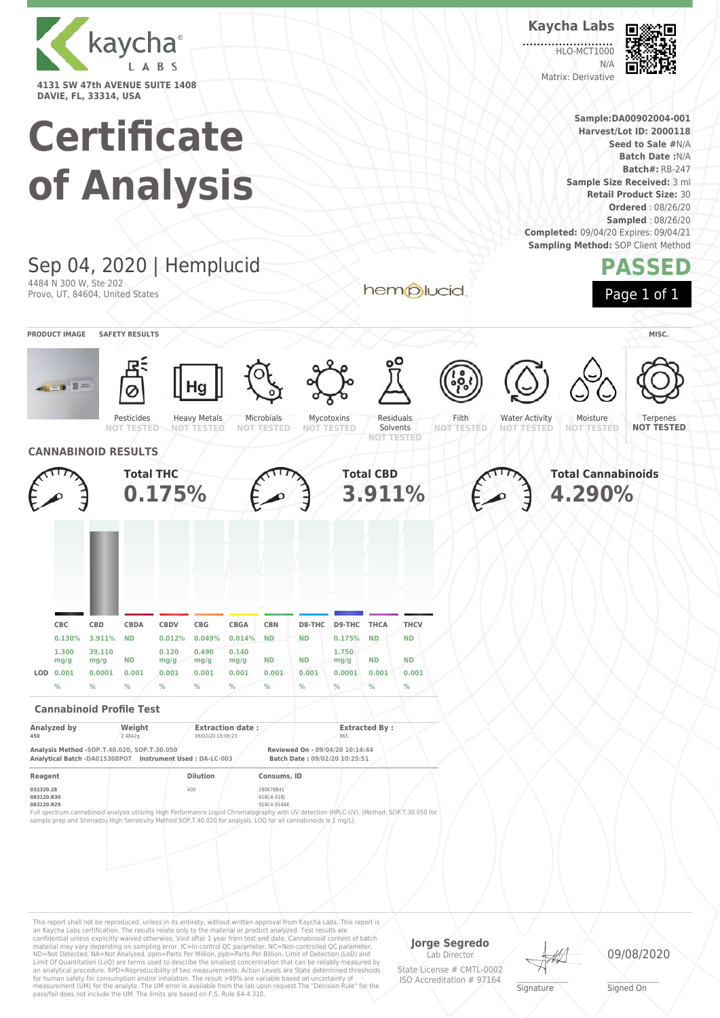

# **Certificate**

| of Analysis                                              |                          |                      |                                                                                                                                                                                             |                       |                           |                         |                         |                                                                                                                  |                             | <b>Batch Date: N/A</b><br><b>Batch#: RB-247</b><br>Sample Size Received: 3 ml |                          |                   |  |                       |                                                                                    |  |                                                                                        |  |
|----------------------------------------------------------|--------------------------|----------------------|---------------------------------------------------------------------------------------------------------------------------------------------------------------------------------------------|-----------------------|---------------------------|-------------------------|-------------------------|------------------------------------------------------------------------------------------------------------------|-----------------------------|-------------------------------------------------------------------------------|--------------------------|-------------------|--|-----------------------|------------------------------------------------------------------------------------|--|----------------------------------------------------------------------------------------|--|
|                                                          |                          |                      |                                                                                                                                                                                             |                       |                           |                         |                         |                                                                                                                  |                             |                                                                               |                          |                   |  |                       | Completed: 09/04/20 Expires: 09/04/21<br><b>Sampling Method: SOP Client Method</b> |  | <b>Retail Product Size: 30</b><br><b>Ordered: 08/26/20</b><br><b>Sampled: 08/26/20</b> |  |
| Sep 04, 2020   Hemplucid                                 |                          |                      |                                                                                                                                                                                             |                       |                           |                         | hemplucid               |                                                                                                                  |                             |                                                                               |                          |                   |  |                       | PASSED                                                                             |  |                                                                                        |  |
| 4484 N 300 W, Ste 202<br>Provo, UT, 84604, United States |                          |                      |                                                                                                                                                                                             |                       |                           | Page 1 of 1             |                         |                                                                                                                  |                             |                                                                               |                          |                   |  |                       |                                                                                    |  |                                                                                        |  |
|                                                          | <b>PRODUCT IMAGE</b>     |                      | <b>SAFETY RESULTS</b>                                                                                                                                                                       |                       |                           |                         |                         |                                                                                                                  |                             |                                                                               |                          |                   |  |                       |                                                                                    |  | MISC.                                                                                  |  |
|                                                          | <b>The Second Second</b> |                      | Pesticides                                                                                                                                                                                  |                       | Hg<br><b>Heavy Metals</b> |                         | Microbials              |                                                                                                                  | Mycotoxins                  | Residuals                                                                     |                          | ႞ၜၟႆ<br>Filth     |  | <b>Water Activity</b> | Moisture                                                                           |  | Terpenes                                                                               |  |
|                                                          |                          |                      | <b>NOT TESTED</b><br><b>CANNABINOID RESULTS</b>                                                                                                                                             |                       | <b>NOT TESTED</b>         |                         | <b>NOT TESTED</b>       |                                                                                                                  | <b>NOT TESTED</b>           | Solvents<br><b>NOT TESTED</b>                                                 |                          | <b>NOT TESTED</b> |  | <b>NOT TESTED</b>     | <b>NOT TESTED</b>                                                                  |  | <b>NOT TESTED</b>                                                                      |  |
|                                                          |                          |                      | <b>Total THC</b>                                                                                                                                                                            |                       |                           |                         |                         |                                                                                                                  |                             | <b>Total CBD</b>                                                              |                          |                   |  |                       | <b>Total Cannabinoids</b>                                                          |  |                                                                                        |  |
|                                                          |                          |                      |                                                                                                                                                                                             | 0.175%                |                           |                         |                         |                                                                                                                  |                             | 3.911%                                                                        |                          |                   |  |                       | 4.290%                                                                             |  |                                                                                        |  |
|                                                          |                          |                      |                                                                                                                                                                                             |                       |                           |                         |                         |                                                                                                                  |                             |                                                                               |                          |                   |  |                       |                                                                                    |  |                                                                                        |  |
|                                                          |                          |                      |                                                                                                                                                                                             |                       |                           |                         |                         |                                                                                                                  |                             |                                                                               |                          |                   |  |                       |                                                                                    |  |                                                                                        |  |
|                                                          |                          |                      |                                                                                                                                                                                             |                       |                           |                         |                         |                                                                                                                  |                             |                                                                               |                          |                   |  |                       |                                                                                    |  |                                                                                        |  |
|                                                          |                          |                      |                                                                                                                                                                                             |                       |                           |                         |                         |                                                                                                                  |                             |                                                                               |                          |                   |  |                       |                                                                                    |  |                                                                                        |  |
|                                                          | CBC<br>0.130%            | <b>CBD</b><br>3.911% | <b>CBDA</b><br><b>ND</b>                                                                                                                                                                    | <b>CBDV</b><br>0.012% | CBG<br>0.049%             | <b>CBGA</b><br>0.014%   | <b>CBN</b><br><b>ND</b> | D8-THC<br><b>ND</b>                                                                                              | D9-THC<br>0.175%            | <b>THCA</b><br><b>ND</b>                                                      | <b>THCV</b><br><b>ND</b> |                   |  |                       |                                                                                    |  |                                                                                        |  |
|                                                          | 1.300                    | 39.110               |                                                                                                                                                                                             | 0.120                 | 0.490                     | 0.140                   |                         |                                                                                                                  | 1.750                       |                                                                               |                          |                   |  |                       |                                                                                    |  |                                                                                        |  |
|                                                          | mg/g<br>LOD 0.001        | mg/g<br>0.0001       | ND<br>0.001                                                                                                                                                                                 | mg/g<br>0.001         | mg/g<br>0.001             | mg/g<br>0.001           | ND<br>0.001             | ΝD<br>0.001                                                                                                      | mg/g<br>0.0001              | ΝD<br>0.001                                                                   | <b>ND</b><br>0.001       |                   |  |                       |                                                                                    |  |                                                                                        |  |
|                                                          | $\%$                     | %                    | %                                                                                                                                                                                           | %                     | %                         | ℅                       | %                       | %                                                                                                                | ℅                           | $\%$                                                                          | $\%$                     |                   |  |                       |                                                                                    |  |                                                                                        |  |
|                                                          |                          |                      | <b>Cannabinoid Profile Test</b>                                                                                                                                                             |                       |                           |                         |                         |                                                                                                                  |                             |                                                                               |                          |                   |  |                       |                                                                                    |  |                                                                                        |  |
| 450                                                      | Analyzed by              |                      | Weight<br>2.4842g                                                                                                                                                                           |                       | 09/02/20 10:09:23         | <b>Extraction date:</b> |                         |                                                                                                                  | <b>Extracted By:</b><br>965 |                                                                               |                          |                   |  |                       |                                                                                    |  |                                                                                        |  |
|                                                          |                          |                      | Analysis Method -SOP.T.40.020, SOP.T.30.050<br>Analytical Batch -DA015308POT Instrument Used: DA-LC-003                                                                                     |                       |                           |                         |                         | Reviewed On - 09/04/20 10:14:44<br>Batch Date: 09/02/20 10:25:51                                                 |                             |                                                                               |                          |                   |  |                       |                                                                                    |  |                                                                                        |  |
| Reagent                                                  |                          |                      |                                                                                                                                                                                             |                       | <b>Dilution</b>           |                         | Consums. ID             |                                                                                                                  |                             |                                                                               |                          |                   |  |                       |                                                                                    |  |                                                                                        |  |
| 032320.28<br>083120.R30<br>083120.R29                    |                          |                      | 400<br>280678841<br>918C4-918J<br>914C4-914AK<br>Full spectrum cannabinoid analysis utilizing High Performance Liquid Chromatography with UV detection (HPLC-UV). (Method: SOP.T.30.050 for |                       |                           |                         |                         |                                                                                                                  |                             |                                                                               |                          |                   |  |                       |                                                                                    |  |                                                                                        |  |
|                                                          |                          |                      |                                                                                                                                                                                             |                       |                           |                         |                         | sample prep and Shimadzu High Sensitivity Method SOP.T.40.020 for analysis. LOQ for all cannabinoids is 1 mg/L). |                             |                                                                               |                          |                   |  |                       |                                                                                    |  |                                                                                        |  |
|                                                          |                          |                      |                                                                                                                                                                                             |                       |                           |                         |                         |                                                                                                                  |                             |                                                                               |                          |                   |  |                       |                                                                                    |  |                                                                                        |  |
|                                                          |                          |                      |                                                                                                                                                                                             |                       |                           |                         |                         |                                                                                                                  |                             |                                                                               |                          |                   |  |                       |                                                                                    |  |                                                                                        |  |
|                                                          |                          |                      |                                                                                                                                                                                             |                       |                           |                         |                         |                                                                                                                  |                             |                                                                               |                          |                   |  |                       |                                                                                    |  |                                                                                        |  |

This report shall not be reproduced, unless in its entirety, without written approval from Kaycha Labs. This report is<br>an Kaycha Labs certification. The results relate only to the materal or product analyzed. Test results

## **Jorge Segredo**

Lab Director State License # CMTL-0002 ISO Accreditation # 97164

**Signature** 

09/08/2020

\_\_\_\_\_\_\_\_\_\_\_\_\_\_\_\_\_\_\_ Signed On

**Kaycha Labs** 匠 HLO-MCT1000

> **Sample:DA00902004-001 Harvest/Lot ID: 2000118 Seed to Sale #**N/A

N/A Matrix: Derivative

. . . . . . .

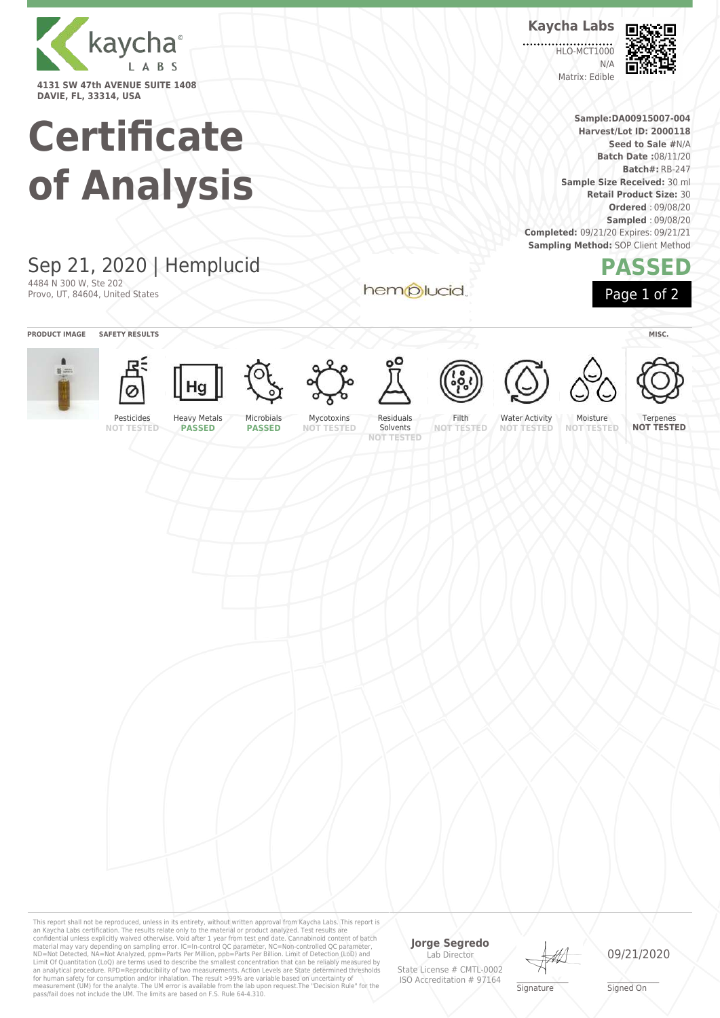

# **Certificate of Analysis**

# Sep 21, 2020 | Hemplucid 4484 N 300 W, Ste 202

Provo, UT, 84604, United States

**PRODUCT IMAGE SAFETY RESULTS MISC.**













**PASSED**



















**NOT TESTED**

**PASSED**

Mycotoxins **NOT TESTED**

Residuals Solvents **NOT TESTED**

hemplucid

Filth **NOT TESTED**

Terpenes

**PASSED**

Page 1 of 2

Lab Director State License # CMTL-0002 ISO Accreditation # 97164

**Jorge Segredo**

**Signature** 

09/21/2020

This report shall not be reproduced, unless in its entirety, without written approval from Kaycha Labs. This report is<br>an Kaycha Labs certification. The results relate only to the materal or product analyzed. Test results

\_\_\_\_\_\_\_\_\_\_\_\_\_\_\_\_\_\_\_ Signed On



**HLO-MCT1000** N/A Matrix: Edible



**Sample:DA00915007-004 Harvest/Lot ID: 2000118 Seed to Sale #**N/A **Batch Date :**08/11/20 **Batch#:** RB-247

**Sample Size Received:** 30 ml **Retail Product Size:** 30 **Ordered** : 09/08/20 **Sampled** : 09/08/20

**Completed:** 09/21/20 Expires: 09/21/21 **Sampling Method: SOP Client Method** 



Water Activity **NOT TESTED**

Moisture **NOT TESTED**

**NOT TESTED**